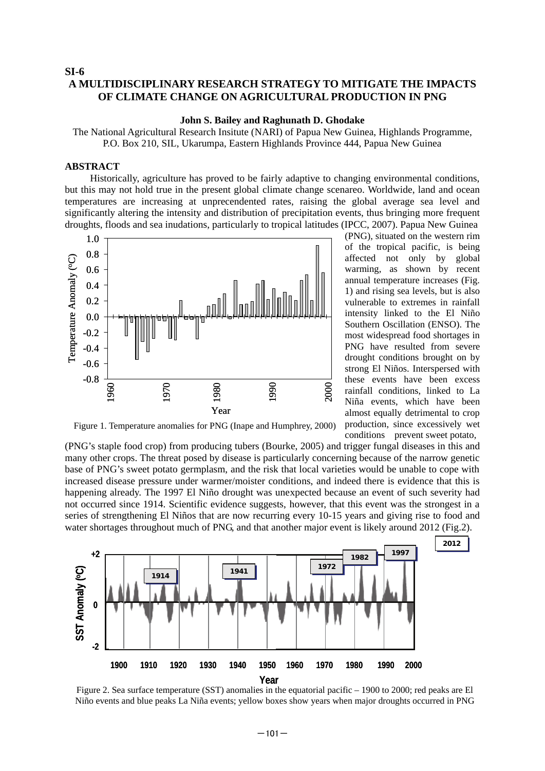#### **SI-6 A MULTIDISCIPLINARY RESEARCH STRATEGY TO MITIGATE THE IMPACTS OF CLIMATE CHANGE ON AGRICULTURAL PRODUCTION IN PNG**

#### **John S. Bailey and Raghunath D. Ghodake**

The National Agricultural Research Insitute (NARI) of Papua New Guinea, Highlands Programme, P.O. Box 210, SIL, Ukarumpa, Eastern Highlands Province 444, Papua New Guinea

#### **ABSTRACT**

Historically, agriculture has proved to be fairly adaptive to changing environmental conditions, but this may not hold true in the present global climate change scenareo. Worldwide, land and ocean temperatures are increasing at unprecendented rates, raising the global average sea level and significantly altering the intensity and distribution of precipitation events, thus bringing more frequent droughts, floods and sea inudations, particularly to tropical latitudes (IPCC, 2007). Papua New Guinea



(PNG), situated on the western rim of the tropical pacific, is being affected not only by global warming, as shown by recent annual temperature increases (Fig. 1) and rising sea levels, but is also vulnerable to extremes in rainfall intensity linked to the El Niño Southern Oscillation (ENSO). The most widespread food shortages in PNG have resulted from severe drought conditions brought on by strong El Niños. Interspersed with these events have been excess rainfall conditions, linked to La Niña events, which have been almost equally detrimental to crop production, since excessively wet conditions prevent sweet potato,

Figure 1. Temperature anomalies for PNG (Inape and Humphrey, 2000)

(PNG's staple food crop) from producing tubers (Bourke, 2005) and trigger fungal diseases in this and many other crops. The threat posed by disease is particularly concerning because of the narrow genetic base of PNG's sweet potato germplasm, and the risk that local varieties would be unable to cope with increased disease pressure under warmer/moister conditions, and indeed there is evidence that this is happening already. The 1997 El Niño drought was unexpected because an event of such severity had not occurred since 1914. Scientific evidence suggests, however, that this event was the strongest in a series of strengthening El Niños that are now recurring every 10-15 years and giving rise to food and water shortages throughout much of PNG, and that another major event is likely around 2012 (Fig.2).



Figure 2. Sea surface temperature (SST) anomalies in the equatorial pacific – 1900 to 2000; red peaks are El Niño events and blue peaks La Niña events; yellow boxes show years when major droughts occurred in PNG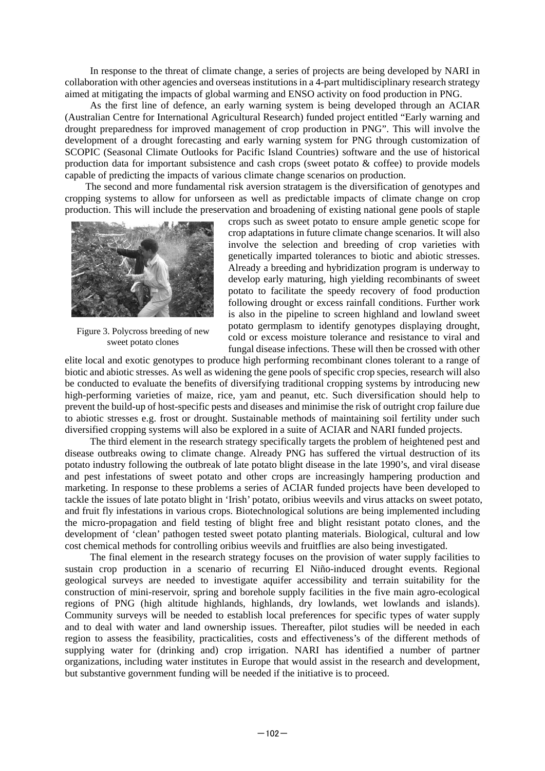In response to the threat of climate change, a series of projects are being developed by NARI in collaboration with other agencies and overseas institutions in a 4-part multidisciplinary research strategy aimed at mitigating the impacts of global warming and ENSO activity on food production in PNG.

As the first line of defence, an early warning system is being developed through an ACIAR (Australian Centre for International Agricultural Research) funded project entitled "Early warning and drought preparedness for improved management of crop production in PNG". This will involve the development of a drought forecasting and early warning system for PNG through customization of SCOPIC (Seasonal Climate Outlooks for Pacific Island Countries) software and the use of historical production data for important subsistence and cash crops (sweet potato  $\&$  coffee) to provide models capable of predicting the impacts of various climate change scenarios on production.

The second and more fundamental risk aversion stratagem is the diversification of genotypes and cropping systems to allow for unforseen as well as predictable impacts of climate change on crop production. This will include the preservation and broadening of existing national gene pools of staple



Figure 3. Polycross breeding of new sweet potato clones

crops such as sweet potato to ensure ample genetic scope for crop adaptations in future climate change scenarios. It will also involve the selection and breeding of crop varieties with genetically imparted tolerances to biotic and abiotic stresses. Already a breeding and hybridization program is underway to develop early maturing, high yielding recombinants of sweet potato to facilitate the speedy recovery of food production following drought or excess rainfall conditions. Further work is also in the pipeline to screen highland and lowland sweet potato germplasm to identify genotypes displaying drought, cold or excess moisture tolerance and resistance to viral and fungal disease infections. These will then be crossed with other

elite local and exotic genotypes to produce high performing recombinant clones tolerant to a range of biotic and abiotic stresses. As well as widening the gene pools of specific crop species, research will also be conducted to evaluate the benefits of diversifying traditional cropping systems by introducing new high-performing varieties of maize, rice, yam and peanut, etc. Such diversification should help to prevent the build-up of host-specific pests and diseases and minimise the risk of outright crop failure due to abiotic stresses e.g. frost or drought. Sustainable methods of maintaining soil fertility under such diversified cropping systems will also be explored in a suite of ACIAR and NARI funded projects.

The third element in the research strategy specifically targets the problem of heightened pest and disease outbreaks owing to climate change. Already PNG has suffered the virtual destruction of its potato industry following the outbreak of late potato blight disease in the late 1990's, and viral disease and pest infestations of sweet potato and other crops are increasingly hampering production and marketing. In response to these problems a series of ACIAR funded projects have been developed to tackle the issues of late potato blight in 'Irish' potato, oribius weevils and virus attacks on sweet potato, and fruit fly infestations in various crops. Biotechnological solutions are being implemented including the micro-propagation and field testing of blight free and blight resistant potato clones, and the development of 'clean' pathogen tested sweet potato planting materials. Biological, cultural and low cost chemical methods for controlling oribius weevils and fruitflies are also being investigated.

The final element in the research strategy focuses on the provision of water supply facilities to sustain crop production in a scenario of recurring El Niño-induced drought events. Regional geological surveys are needed to investigate aquifer accessibility and terrain suitability for the construction of mini-reservoir, spring and borehole supply facilities in the five main agro-ecological regions of PNG (high altitude highlands, highlands, dry lowlands, wet lowlands and islands). Community surveys will be needed to establish local preferences for specific types of water supply and to deal with water and land ownership issues. Thereafter, pilot studies will be needed in each region to assess the feasibility, practicalities, costs and effectiveness's of the different methods of supplying water for (drinking and) crop irrigation. NARI has identified a number of partner organizations, including water institutes in Europe that would assist in the research and development, but substantive government funding will be needed if the initiative is to proceed.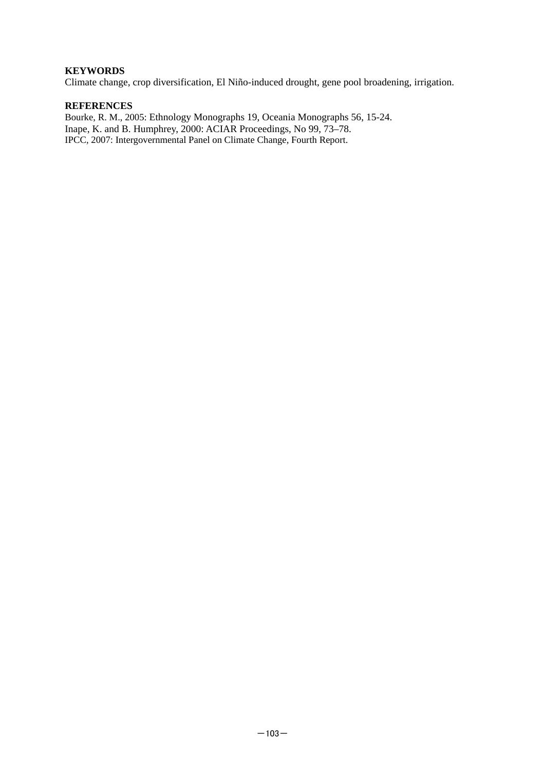#### **KEYWORDS**

Climate change, crop diversification, El Niño-induced drought, gene pool broadening, irrigation.

#### **REFERENCES**

Bourke, R. M., 2005: Ethnology Monographs 19, Oceania Monographs 56, 15-24. Inape, K. and B. Humphrey, 2000: ACIAR Proceedings, No 99, 73–78. IPCC, 2007: Intergovernmental Panel on Climate Change, Fourth Report.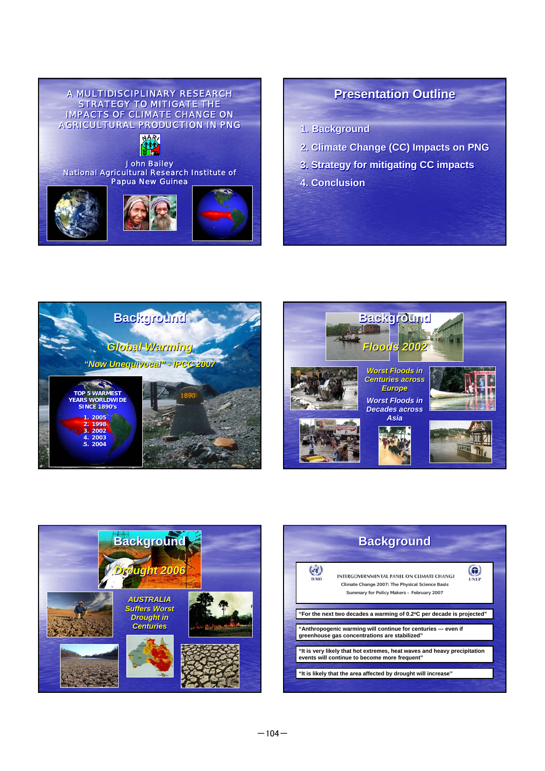

## **Presentation Outline Presentation Outline**

**1. Background 1. Background**

- **2. Climate Change (CC) Impacts on PNG**
- **3. Strategy for mitigating CC impacts 3. Strategy for mitigating CC impacts**
- **4. Conclusion 4. Conclusion**







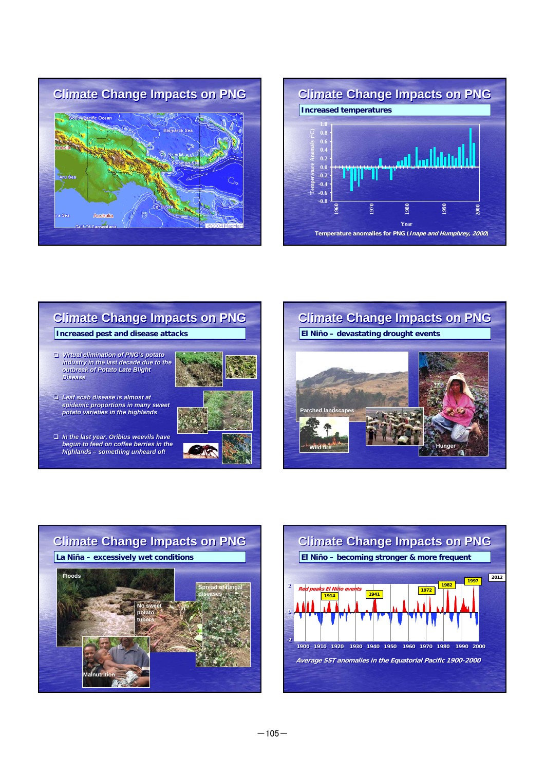









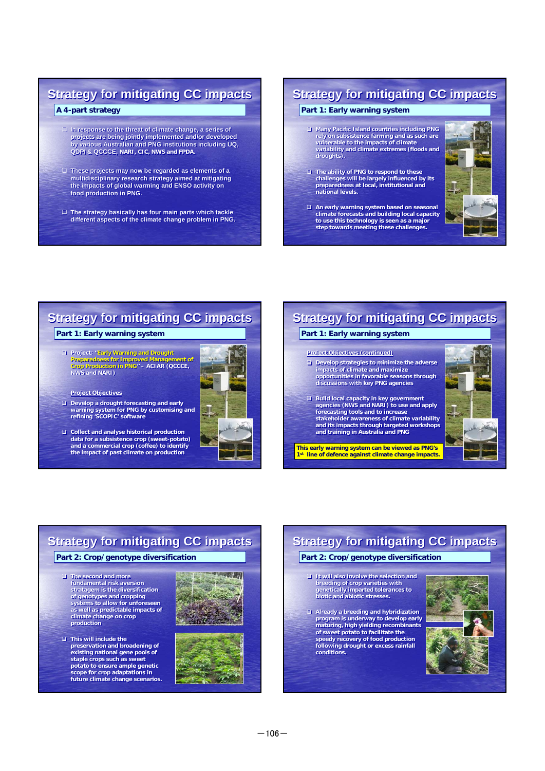## **Strategy for mitigating CC impacts A 4-part strategy A 4-part strategy**

- **In response to the threat of climate change, a series of In response to the threat of climate change, a series of projects are being jointly implemented and/or developed by various Australian and PNG institutions including UQ, QDPI & QCCCE, NARI, CIC, NWS and FPDA. projects are being jointly implemented and/or developed by various Australian and PNG institutions including UQ, QDPI & QCCCE, NARI, CIC, NWS and FPDA.**
- **These projects may now be regarded as elements of a These projects may now be regarded as elements of a multidisciplinary research strategy aimed at mitigating multidisciplinary research strategy aimed at mitigating**  the impacts of global warming and ENSO activity on **food production in PNG. food production in PNG.**
- **The strategy basically has four main parts which tackle The strategy basically has four main parts which tackle different aspects of the climate change problem in PNG. different aspects of the climate change problem PNG.**

## **Strategy for mitigating CC impacts**

#### **Part 1: Early warning system**

- **Many Pacific Island countries including PNG Many Pacific Island countries including PNG rely on subsistence farming and as such are rely on subsistence farming and as such are vulnerable to the impacts of climate variability and climate extremes (floods and vulnerable to the impacts of climate variability and climate extremes (floods and droughts). droughts).**
- **The ability of PNG to respond to these challenges will be largely influenced by its preparedness at local, institutional and national levels. □ The ability of PNG to respond to these challenges will be largely influenced by its preparedness at local, institutional and national levels.**



 **An early warning system based on seasonal climate forecasts and building local capacity An early warning system based on seasonal climate forecasts and building local capacity to use this technology is seen as a major step towards meeting these challenges. to use this technology is seen as a major step towards meeting these challenges.**

## **Strategy for mitigating CC impacts Strategy for mitigating CC impacts**

#### **Part 1: Early warning system**

 **Project: "Early Warning and Drought Project: "Early Warning and Drought Preparedness for Improved Management of Crop Production in PNG" – ACIAR (QCCCE, NWS and NARI) Preparedness for Improved Management of Crop Production in PNG" – ACIAR (QCCCE, NWS and NARI)**



#### **Project Objectives Project Objectives**

- □ Develop a drought forecasting and early<br>warning system for PNG by customising and<br>refining 'SCOPIC' software
- **Collect and analyse historical production data for a subsistence crop (sweet-potato) and a commercial crop (coffee) to identify the impact of past climate on production Collect and analyse historical production data for a subsistence crop (sweet-potato) and a commercial crop (coffee) to identify the impact of past climate on production**

## **Part 1: Early warning system Strategy for mitigating CC impacts Project Objectives (continued) Project Objectives (continued) Develop strategies to minimize the adverse impacts of climate and maximize Develop strategies to minimize the adverse impacts of climate and maximize**

- **opportunities in favorable seasons through discussions with key PNG agencies opportunities in favorable seasons through discussions with key PNG agencies**
- **Build local capacity in key government agencies (NWS and NARI) to use and apply forecasting tools and to increase stakeholder awareness of climate variability and its impacts through targeted workshops and training in Australia and PNG and training in Australia and PNG Build local capacity in key agencies (NWS and NARI) to use and apply forecasting tools and to increase stakeholder awareness of climate variability and its impacts through targeted workshops**

**This early warning system can be viewed as PNG's 1st line of defence against climate change impacts.**



## **Strategy for mitigating CC impacts**

#### **Part 2: Crop/genotype diversification Part 2: Crop/genotype diversification**

- **The second and more The second and more fundamental risk aversion fundamental risk aversion stratagem is the diversification stratagem is the diversification of genotypes and cropping systems to allow for unforeseen as well as predictable impacts of climate change on crop climate change on crop production production of genotypes and cropping systems to allow for unforeseen as well as predictable impacts of**
- **This will include the preservation and broadening of This will include the preservation and broadening of existing national gene pools of existing national gene pools of staple crops such as sweet staple crops such as sweet potato to ensure ample genetic potato to ensure ample genetic scope for crop adaptations in future climate change scenarios. scope for crop adaptations in future climate change scenarios.**





### **Part 2: Crop/genotype diversification Part 2: Crop/genotype diversification Strategy for mitigating CC impacts**

- **It will also involve the selection and breeding of crop varieties with genetically imparted tolerances to biotic and abiotic stresses. It will also involve the selection and breeding of crop varieties with genetically imparted tolerances to biotic and abiotic stresses.**
- **Already a breeding and hybridization Already a breeding and program is underway to develop early maturing, high yielding recombinants of sweet potato to facilitate the speedy recovery of food production following drought or excess rainfall speedy recovery of food production following drought or excess rainfall conditions. conditions. program is underway to develop early maturing, high yielding recombinants of sweet potato to facilitate the**

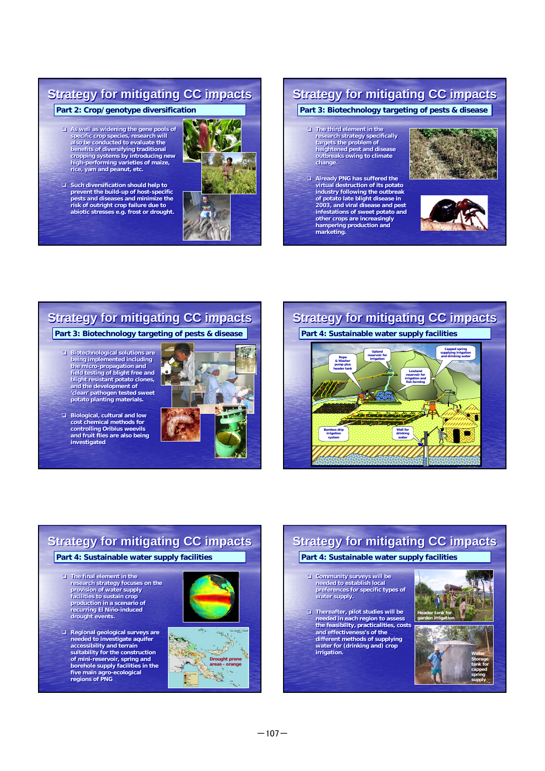## **Strategy for mitigating CC impacts**

**Part 2: Crop/genotype diversification Part 2: Crop/genotype diversification**

- **As well as widening the gene pools of As well as widening the gene pools of specific crop species, research will also be conducted to evaluate the specific crop species, research will also be conducted to evaluate the benefits of diversifying traditional cropping systems by introducing new high-performing varieties of maize, rice, yam and peanut, etc. benefits of diversifying traditional cropping systems high-performing varieties of maize, rice, yam and peanut, etc.**
- **Such diversification should help to Such diversification should help to prevent the build-up of host-specific pests and diseases and minimize the prevent build-up of host-specific pests and diseases and minimize the risk of outright crop failure due to risk of outright crop failure due to abiotic stresses e.g. frost or drought.**



## **Strategy for mitigating CC impacts**

- **The third element in the The third element in the research strategy specifically targets the problem of heightened pest and disease outbreaks owing to climate change. change. research strategy specifically targets the problem of heightened pest and disease outbreaks owing to climate**
- **Already PNG has suffered the virtual destruction of its potato Already PNG has suffered the virtual destruction of its potato industry following the outbreak of potato late blight disease in industry following the outbreak of potato late blight disease in 2003, and viral disease and pest 2003, and viral disease and pest infestations of sweet potato and infestations of sweet potato and other crops are increasingly other crops are increasingly hampering production and marketing. hampering production and**





# marketing.<br>Part 3: Biotechnology targeting of pests & disease **Part 4: Sust.**<br>Part 4: Sust. **Strategy for mitigating CC impacts**

- **Biotechnological solutions are Biotechnological solutions are being implemented including being implemented including the micro-propagation and field testing of blight free and the micro-propagation and field testing of blight free and blight resistant potato clones, blight and the development of 'clean' pathogen tested sweet potato planting materials. and the development of 'clean' pathogen tested sweet potato planting materials.**
- **Biological, cultural and low Biological, cultural and low cost chemical methods for cost chemical methods for controlling Oribius weevils and fruit flies are also being controlling Oribius weevils and fruit flies are also being investigated investigated**





## **Strategy for mitigating CC impacts**

**Part 4: Sustainable water supply facilities Part 4: Sustainable water supply facilities**

- **The final element in the The final element in the research strategy focuses on the research strategy focuses on the provision of water supply provision of water supply facilities to sustain crop production in a scenario of recurring El Niño-induced drought events. drought events. facilities to sustain crop production in a scenario of recurring El Niño-induced**
- **Regional geological surveys are Regional geological surveys are needed to investigate aquifer accessibility and terrain needed to investigate aquifer accessibility and terrain suitability for the construction suitability for the construction of mini-reservoir, spring and borehole supply facilities in the five main agro-ecological regions of PNG five main agro-ecological regions of PNG of mini-reservoir, spring and borehole supply facilities in the**





## **Strategy for mitigating CC impacts**

**Part 4: Sustainable water supply facilities Part 4: Sustainable water supply facilities**

- **Community surveys will be needed to establish local Community surveys will be needed to establish local preferences for specific types of preferences for specific types of water supply. water supply.**
- **Thereafter, pilot studies will be □ Thereafter, pilot studies will be needed in each region to assess <br>the feasibility, practicalities, costs and effectiveness's of the and effectiveness's of the different methods of supplying water for (drinking and) crop different methods of supplying water for (drinking and) crop irrigation.** Water **Water**